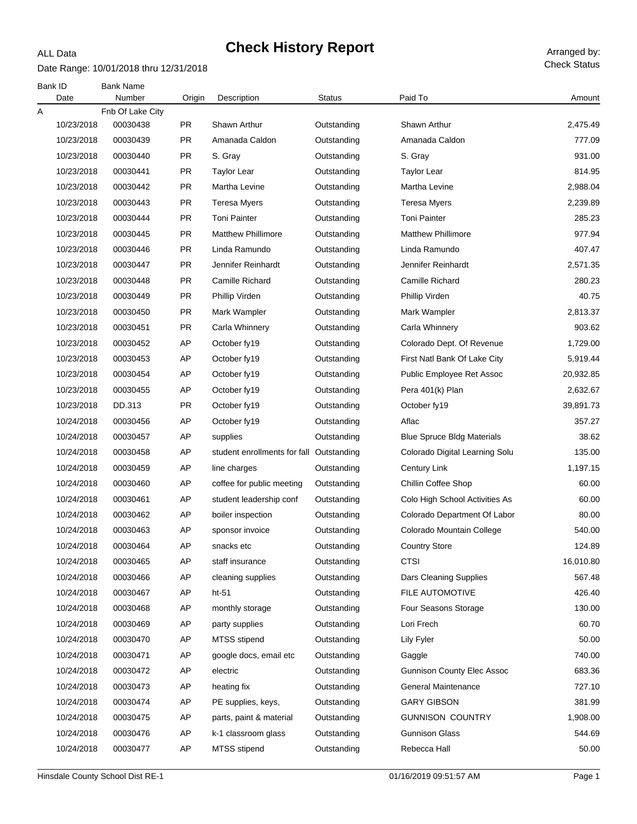#### Date Range: 10/01/2018 thru 12/31/2018

ALL Data

| Bank ID<br>Date | <b>Bank Name</b><br>Number | Origin    | Description                              | <b>Status</b> | Paid To                           | Amount    |
|-----------------|----------------------------|-----------|------------------------------------------|---------------|-----------------------------------|-----------|
| Α               | Fnb Of Lake City           |           |                                          |               |                                   |           |
| 10/23/2018      | 00030438                   | <b>PR</b> | Shawn Arthur                             | Outstanding   | Shawn Arthur                      | 2,475.49  |
| 10/23/2018      | 00030439                   | <b>PR</b> | Amanada Caldon                           | Outstanding   | Amanada Caldon                    | 777.09    |
| 10/23/2018      | 00030440                   | <b>PR</b> | S. Gray                                  | Outstanding   | S. Gray                           | 931.00    |
| 10/23/2018      | 00030441                   | <b>PR</b> | <b>Taylor Lear</b>                       | Outstanding   | <b>Taylor Lear</b>                | 814.95    |
| 10/23/2018      | 00030442                   | <b>PR</b> | Martha Levine                            | Outstanding   | Martha Levine                     | 2,988.04  |
| 10/23/2018      | 00030443                   | <b>PR</b> | <b>Teresa Myers</b>                      | Outstanding   | Teresa Myers                      | 2,239.89  |
| 10/23/2018      | 00030444                   | PR        | <b>Toni Painter</b>                      | Outstanding   | <b>Toni Painter</b>               | 285.23    |
| 10/23/2018      | 00030445                   | <b>PR</b> | <b>Matthew Phillimore</b>                | Outstanding   | <b>Matthew Phillimore</b>         | 977.94    |
| 10/23/2018      | 00030446                   | <b>PR</b> | Linda Ramundo                            | Outstanding   | Linda Ramundo                     | 407.47    |
| 10/23/2018      | 00030447                   | <b>PR</b> | Jennifer Reinhardt                       | Outstanding   | Jennifer Reinhardt                | 2,571.35  |
| 10/23/2018      | 00030448                   | <b>PR</b> | Camille Richard                          | Outstanding   | Camille Richard                   | 280.23    |
| 10/23/2018      | 00030449                   | <b>PR</b> | Phillip Virden                           | Outstanding   | Phillip Virden                    | 40.75     |
| 10/23/2018      | 00030450                   | <b>PR</b> | Mark Wampler                             | Outstanding   | Mark Wampler                      | 2,813.37  |
| 10/23/2018      | 00030451                   | <b>PR</b> | Carla Whinnery                           | Outstanding   | Carla Whinnery                    | 903.62    |
| 10/23/2018      | 00030452                   | AP        | October fy19                             | Outstanding   | Colorado Dept. Of Revenue         | 1,729.00  |
| 10/23/2018      | 00030453                   | AP        | October fy19                             | Outstanding   | First Natl Bank Of Lake City      | 5,919.44  |
| 10/23/2018      | 00030454                   | AP        | October fy19                             | Outstanding   | Public Employee Ret Assoc         | 20,932.85 |
| 10/23/2018      | 00030455                   | AP        | October fy19                             | Outstanding   | Pera 401(k) Plan                  | 2,632.67  |
| 10/23/2018      | DD.313                     | <b>PR</b> | October fy19                             | Outstanding   | October fy19                      | 39,891.73 |
| 10/24/2018      | 00030456                   | AP        | October fy19                             | Outstanding   | Aflac                             | 357.27    |
| 10/24/2018      | 00030457                   | AP        | supplies                                 | Outstanding   | <b>Blue Spruce Bldg Materials</b> | 38.62     |
| 10/24/2018      | 00030458                   | AP        | student enrollments for fall Outstanding |               | Colorado Digital Learning Solu    | 135.00    |
| 10/24/2018      | 00030459                   | AP        | line charges                             | Outstanding   | <b>Century Link</b>               | 1,197.15  |
| 10/24/2018      | 00030460                   | AP        | coffee for public meeting                | Outstanding   | <b>Chillin Coffee Shop</b>        | 60.00     |
| 10/24/2018      | 00030461                   | AP        | student leadership conf                  | Outstanding   | Colo High School Activities As    | 60.00     |
| 10/24/2018      | 00030462                   | AP        | boiler inspection                        | Outstanding   | Colorado Department Of Labor      | 80.00     |
| 10/24/2018      | 00030463                   | AP        | sponsor invoice                          | Outstanding   | Colorado Mountain College         | 540.00    |
| 10/24/2018      | 00030464                   | AP        | snacks etc                               | Outstanding   | <b>Country Store</b>              | 124.89    |
| 10/24/2018      | 00030465                   | AP        | staff insurance                          | Outstanding   | <b>CTSI</b>                       | 16,010.80 |
| 10/24/2018      | 00030466                   | AP        | cleaning supplies                        | Outstanding   | <b>Dars Cleaning Supplies</b>     | 567.48    |
| 10/24/2018      | 00030467                   | AP        | ht-51                                    | Outstanding   | FILE AUTOMOTIVE                   | 426.40    |
| 10/24/2018      | 00030468                   | AP        | monthly storage                          | Outstanding   | <b>Four Seasons Storage</b>       | 130.00    |
| 10/24/2018      | 00030469                   | AP        | party supplies                           | Outstanding   | Lori Frech                        | 60.70     |
| 10/24/2018      | 00030470                   | AP        | MTSS stipend                             | Outstanding   | Lily Fyler                        | 50.00     |
| 10/24/2018      | 00030471                   | AP        | google docs, email etc                   | Outstanding   | Gaggle                            | 740.00    |
| 10/24/2018      | 00030472                   | AP        | electric                                 | Outstanding   | <b>Gunnison County Elec Assoc</b> | 683.36    |
| 10/24/2018      | 00030473                   | AP        | heating fix                              | Outstanding   | General Maintenance               | 727.10    |
| 10/24/2018      | 00030474                   | AP        | PE supplies, keys,                       | Outstanding   | <b>GARY GIBSON</b>                | 381.99    |
| 10/24/2018      | 00030475                   | AP        | parts, paint & material                  | Outstanding   | <b>GUNNISON COUNTRY</b>           | 1,908.00  |
| 10/24/2018      | 00030476                   | AP        | k-1 classroom glass                      | Outstanding   | <b>Gunnison Glass</b>             | 544.69    |
| 10/24/2018      | 00030477                   | AP        | <b>MTSS</b> stipend                      | Outstanding   | Rebecca Hall                      | 50.00     |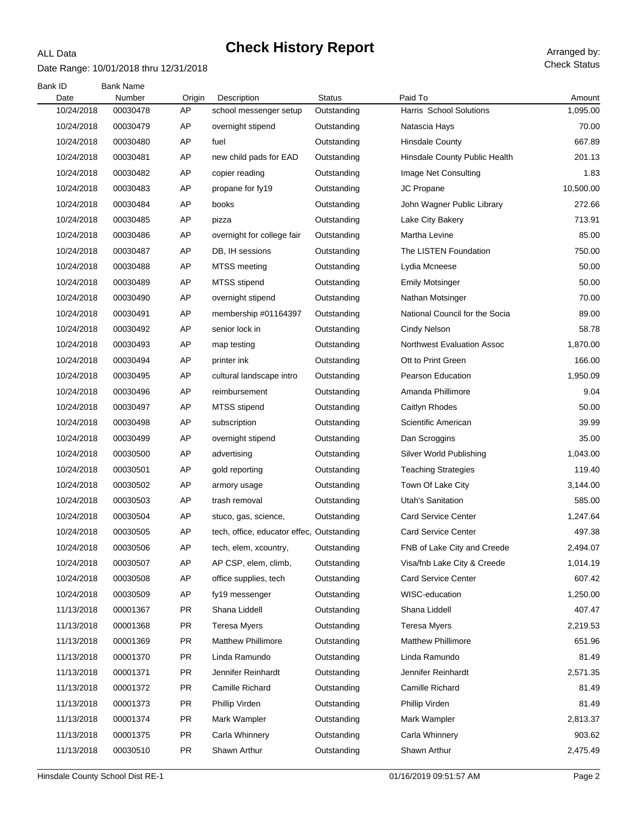### Date Range: 10/01/2018 thru 12/31/2018

ALL Data

| Bank ID    | <b>Bank Name</b> |           |                                           |               |                                   |           |
|------------|------------------|-----------|-------------------------------------------|---------------|-----------------------------------|-----------|
| Date       | Number           | Origin    | Description                               | <b>Status</b> | Paid To                           | Amount    |
| 10/24/2018 | 00030478         | AP        | school messenger setup                    | Outstanding   | Harris School Solutions           | 1,095.00  |
| 10/24/2018 | 00030479         | AP        | overnight stipend                         | Outstanding   | Natascia Hays                     | 70.00     |
| 10/24/2018 | 00030480         | AP        | fuel                                      | Outstanding   | <b>Hinsdale County</b>            | 667.89    |
| 10/24/2018 | 00030481         | AP        | new child pads for EAD                    | Outstanding   | Hinsdale County Public Health     | 201.13    |
| 10/24/2018 | 00030482         | AP        | copier reading                            | Outstanding   | Image Net Consulting              | 1.83      |
| 10/24/2018 | 00030483         | AP        | propane for fy19                          | Outstanding   | JC Propane                        | 10,500.00 |
| 10/24/2018 | 00030484         | AP        | books                                     | Outstanding   | John Wagner Public Library        | 272.66    |
| 10/24/2018 | 00030485         | AP        | pizza                                     | Outstanding   | Lake City Bakery                  | 713.91    |
| 10/24/2018 | 00030486         | AP        | overnight for college fair                | Outstanding   | Martha Levine                     | 85.00     |
| 10/24/2018 | 00030487         | AP        | DB, IH sessions                           | Outstanding   | The LISTEN Foundation             | 750.00    |
| 10/24/2018 | 00030488         | AP        | MTSS meeting                              | Outstanding   | Lydia Mcneese                     | 50.00     |
| 10/24/2018 | 00030489         | AP        | MTSS stipend                              | Outstanding   | <b>Emily Motsinger</b>            | 50.00     |
| 10/24/2018 | 00030490         | AP        | overnight stipend                         | Outstanding   | Nathan Motsinger                  | 70.00     |
| 10/24/2018 | 00030491         | AP        | membership #01164397                      | Outstanding   | National Council for the Socia    | 89.00     |
| 10/24/2018 | 00030492         | AP        | senior lock in                            | Outstanding   | <b>Cindy Nelson</b>               | 58.78     |
| 10/24/2018 | 00030493         | AP        | map testing                               | Outstanding   | <b>Northwest Evaluation Assoc</b> | 1,870.00  |
| 10/24/2018 | 00030494         | AP        | printer ink                               | Outstanding   | Ott to Print Green                | 166.00    |
| 10/24/2018 | 00030495         | AP        | cultural landscape intro                  | Outstanding   | Pearson Education                 | 1,950.09  |
| 10/24/2018 | 00030496         | AP        | reimbursement                             | Outstanding   | Amanda Phillimore                 | 9.04      |
| 10/24/2018 | 00030497         | AP        | MTSS stipend                              | Outstanding   | Caitlyn Rhodes                    | 50.00     |
| 10/24/2018 | 00030498         | AP        | subscription                              | Outstanding   | Scientific American               | 39.99     |
| 10/24/2018 | 00030499         | AP        | overnight stipend                         | Outstanding   | Dan Scroggins                     | 35.00     |
| 10/24/2018 | 00030500         | AP        | advertising                               | Outstanding   | Silver World Publishing           | 1,043.00  |
| 10/24/2018 | 00030501         | AP        | gold reporting                            | Outstanding   | <b>Teaching Strategies</b>        | 119.40    |
| 10/24/2018 | 00030502         | AP        | armory usage                              | Outstanding   | Town Of Lake City                 | 3,144.00  |
| 10/24/2018 | 00030503         | AP        | trash removal                             | Outstanding   | <b>Utah's Sanitation</b>          | 585.00    |
| 10/24/2018 | 00030504         | AP        | stuco, gas, science,                      | Outstanding   | <b>Card Service Center</b>        | 1,247.64  |
| 10/24/2018 | 00030505         | AP        | tech, office, educator effec, Outstanding |               | <b>Card Service Center</b>        | 497.38    |
| 10/24/2018 | 00030506         | AP        | tech, elem, xcountry,                     | Outstanding   | FNB of Lake City and Creede       | 2,494.07  |
| 10/24/2018 | 00030507         | AP        | AP CSP, elem, climb,                      | Outstanding   | Visa/fnb Lake City & Creede       | 1,014.19  |
| 10/24/2018 | 00030508         | AP        | office supplies, tech                     | Outstanding   | <b>Card Service Center</b>        | 607.42    |
| 10/24/2018 | 00030509         | AP        | fy19 messenger                            | Outstanding   | WISC-education                    | 1,250.00  |
| 11/13/2018 | 00001367         | <b>PR</b> | Shana Liddell                             | Outstanding   | Shana Liddell                     | 407.47    |
| 11/13/2018 | 00001368         | <b>PR</b> | <b>Teresa Myers</b>                       | Outstanding   | <b>Teresa Myers</b>               | 2,219.53  |
| 11/13/2018 | 00001369         | <b>PR</b> | <b>Matthew Phillimore</b>                 | Outstanding   | <b>Matthew Phillimore</b>         | 651.96    |
| 11/13/2018 | 00001370         | <b>PR</b> | Linda Ramundo                             | Outstanding   | Linda Ramundo                     | 81.49     |
| 11/13/2018 | 00001371         | <b>PR</b> | Jennifer Reinhardt                        | Outstanding   | Jennifer Reinhardt                | 2,571.35  |
| 11/13/2018 | 00001372         | <b>PR</b> | Camille Richard                           | Outstanding   | Camille Richard                   | 81.49     |
| 11/13/2018 | 00001373         | <b>PR</b> | Phillip Virden                            | Outstanding   | Phillip Virden                    | 81.49     |
| 11/13/2018 | 00001374         | <b>PR</b> | Mark Wampler                              | Outstanding   | Mark Wampler                      | 2,813.37  |
| 11/13/2018 | 00001375         | <b>PR</b> | Carla Whinnery                            | Outstanding   | Carla Whinnery                    | 903.62    |
| 11/13/2018 | 00030510         | <b>PR</b> | Shawn Arthur                              | Outstanding   | Shawn Arthur                      | 2,475.49  |
|            |                  |           |                                           |               |                                   |           |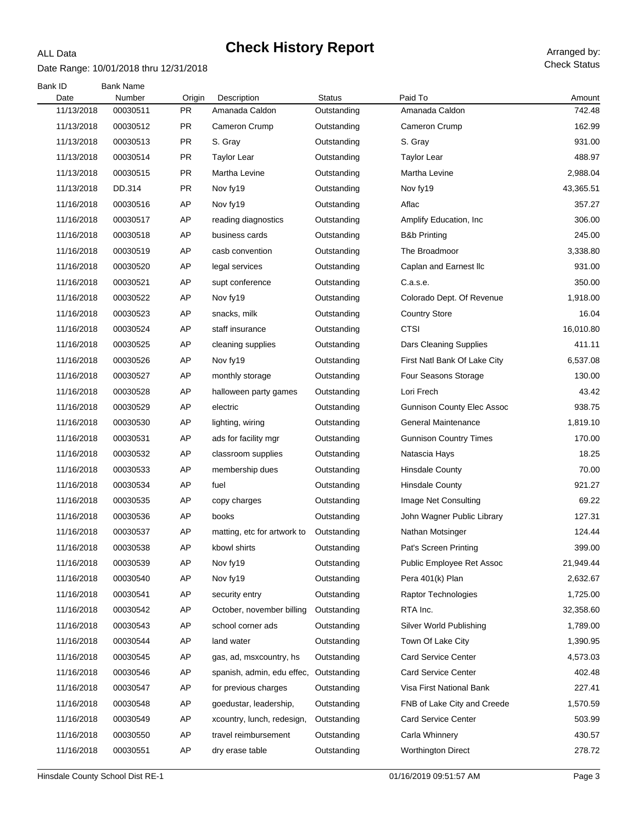#### Date Range: 10/01/2018 thru 12/31/2018

ALL Data

| Bank ID<br>Date | <b>Bank Name</b><br>Number | Origin    | Description                 | <b>Status</b> | Paid To                           | Amount    |
|-----------------|----------------------------|-----------|-----------------------------|---------------|-----------------------------------|-----------|
| 11/13/2018      | 00030511                   | <b>PR</b> | Amanada Caldon              | Outstanding   | Amanada Caldon                    | 742.48    |
| 11/13/2018      | 00030512                   | <b>PR</b> | Cameron Crump               | Outstanding   | Cameron Crump                     | 162.99    |
| 11/13/2018      | 00030513                   | <b>PR</b> | S. Gray                     | Outstanding   | S. Gray                           | 931.00    |
| 11/13/2018      | 00030514                   | <b>PR</b> | <b>Taylor Lear</b>          | Outstanding   | <b>Taylor Lear</b>                | 488.97    |
| 11/13/2018      | 00030515                   | <b>PR</b> | Martha Levine               | Outstanding   | Martha Levine                     | 2,988.04  |
| 11/13/2018      | DD.314                     | PR.       | Nov fy19                    | Outstanding   | Nov fy19                          | 43,365.51 |
| 11/16/2018      | 00030516                   | AP        | Nov fy19                    | Outstanding   | Aflac                             | 357.27    |
| 11/16/2018      | 00030517                   | AP        | reading diagnostics         | Outstanding   | Amplify Education, Inc.           | 306.00    |
| 11/16/2018      | 00030518                   | AP        | business cards              | Outstanding   | <b>B&amp;b Printing</b>           | 245.00    |
| 11/16/2018      | 00030519                   | AP        | casb convention             | Outstanding   | The Broadmoor                     | 3,338.80  |
| 11/16/2018      | 00030520                   | AP        | legal services              | Outstanding   | Caplan and Earnest Ilc            | 931.00    |
| 11/16/2018      | 00030521                   | AP        | supt conference             | Outstanding   | C.a.s.e.                          | 350.00    |
| 11/16/2018      | 00030522                   | AP        | Nov fy19                    | Outstanding   | Colorado Dept. Of Revenue         | 1,918.00  |
| 11/16/2018      | 00030523                   | AP        | snacks, milk                | Outstanding   | <b>Country Store</b>              | 16.04     |
| 11/16/2018      | 00030524                   | AP        | staff insurance             | Outstanding   | <b>CTSI</b>                       | 16,010.80 |
| 11/16/2018      | 00030525                   | AP        | cleaning supplies           | Outstanding   | Dars Cleaning Supplies            | 411.11    |
| 11/16/2018      | 00030526                   | AP        | Nov fy19                    | Outstanding   | First Natl Bank Of Lake City      | 6,537.08  |
| 11/16/2018      | 00030527                   | AP        | monthly storage             | Outstanding   | Four Seasons Storage              | 130.00    |
| 11/16/2018      | 00030528                   | AP        | halloween party games       | Outstanding   | Lori Frech                        | 43.42     |
| 11/16/2018      | 00030529                   | AP        | electric                    | Outstanding   | <b>Gunnison County Elec Assoc</b> | 938.75    |
| 11/16/2018      | 00030530                   | AP        | lighting, wiring            | Outstanding   | <b>General Maintenance</b>        | 1,819.10  |
| 11/16/2018      | 00030531                   | AP        | ads for facility mgr        | Outstanding   | <b>Gunnison Country Times</b>     | 170.00    |
| 11/16/2018      | 00030532                   | AP        | classroom supplies          | Outstanding   | Natascia Hays                     | 18.25     |
| 11/16/2018      | 00030533                   | AP        | membership dues             | Outstanding   | <b>Hinsdale County</b>            | 70.00     |
| 11/16/2018      | 00030534                   | AP        | fuel                        | Outstanding   | <b>Hinsdale County</b>            | 921.27    |
| 11/16/2018      | 00030535                   | AP        | copy charges                | Outstanding   | Image Net Consulting              | 69.22     |
| 11/16/2018      | 00030536                   | AP        | books                       | Outstanding   | John Wagner Public Library        | 127.31    |
| 11/16/2018      | 00030537                   | AP        | matting, etc for artwork to | Outstanding   | Nathan Motsinger                  | 124.44    |
| 11/16/2018      | 00030538                   | AP        | kbowl shirts                | Outstanding   | Pat's Screen Printing             | 399.00    |
| 11/16/2018      | 00030539                   | AP        | Nov fy19                    | Outstanding   | Public Employee Ret Assoc         | 21,949.44 |
| 11/16/2018      | 00030540                   | AP        | Nov fy19                    | Outstanding   | Pera 401(k) Plan                  | 2,632.67  |
| 11/16/2018      | 00030541                   | AP        | security entry              | Outstanding   | Raptor Technologies               | 1,725.00  |
| 11/16/2018      | 00030542                   | AP        | October, november billing   | Outstanding   | RTA Inc.                          | 32,358.60 |
| 11/16/2018      | 00030543                   | AP        | school corner ads           | Outstanding   | Silver World Publishing           | 1,789.00  |
| 11/16/2018      | 00030544                   | AP        | land water                  | Outstanding   | Town Of Lake City                 | 1,390.95  |
| 11/16/2018      | 00030545                   | AP        | gas, ad, msxcountry, hs     | Outstanding   | <b>Card Service Center</b>        | 4,573.03  |
| 11/16/2018      | 00030546                   | AP        | spanish, admin, edu effec,  | Outstanding   | <b>Card Service Center</b>        | 402.48    |
| 11/16/2018      | 00030547                   | AP        | for previous charges        | Outstanding   | Visa First National Bank          | 227.41    |
| 11/16/2018      | 00030548                   | AP        | goedustar, leadership,      | Outstanding   | FNB of Lake City and Creede       | 1,570.59  |
| 11/16/2018      | 00030549                   | AP        | xcountry, lunch, redesign,  | Outstanding   | <b>Card Service Center</b>        | 503.99    |
| 11/16/2018      | 00030550                   | AP        | travel reimbursement        | Outstanding   | Carla Whinnery                    | 430.57    |
| 11/16/2018      | 00030551                   | AP        | dry erase table             | Outstanding   | <b>Worthington Direct</b>         | 278.72    |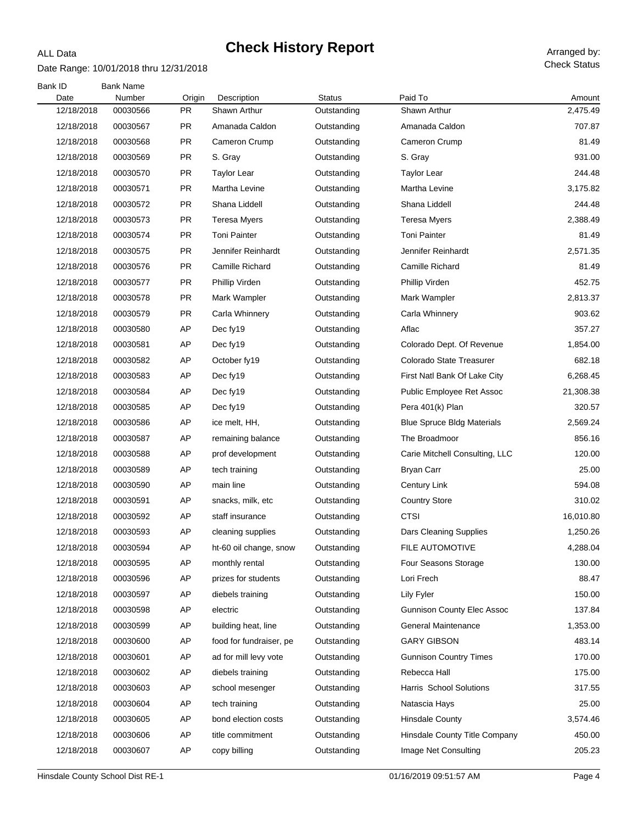#### Date Range: 10/01/2018 thru 12/31/2018

ALL Data

| Bank ID<br>Date | <b>Bank Name</b><br>Number | Origin    | Description             | <b>Status</b> | Paid To                           | Amount    |
|-----------------|----------------------------|-----------|-------------------------|---------------|-----------------------------------|-----------|
| 12/18/2018      | 00030566                   | <b>PR</b> | Shawn Arthur            | Outstanding   | Shawn Arthur                      | 2,475.49  |
| 12/18/2018      | 00030567                   | <b>PR</b> | Amanada Caldon          | Outstanding   | Amanada Caldon                    | 707.87    |
| 12/18/2018      | 00030568                   | <b>PR</b> | Cameron Crump           | Outstanding   | Cameron Crump                     | 81.49     |
| 12/18/2018      | 00030569                   | <b>PR</b> | S. Gray                 | Outstanding   | S. Gray                           | 931.00    |
| 12/18/2018      | 00030570                   | <b>PR</b> | <b>Taylor Lear</b>      | Outstanding   | <b>Taylor Lear</b>                | 244.48    |
| 12/18/2018      | 00030571                   | <b>PR</b> | Martha Levine           | Outstanding   | Martha Levine                     | 3,175.82  |
| 12/18/2018      | 00030572                   | <b>PR</b> | Shana Liddell           | Outstanding   | Shana Liddell                     | 244.48    |
| 12/18/2018      | 00030573                   | <b>PR</b> | Teresa Myers            | Outstanding   | Teresa Myers                      | 2,388.49  |
| 12/18/2018      | 00030574                   | <b>PR</b> | <b>Toni Painter</b>     | Outstanding   | <b>Toni Painter</b>               | 81.49     |
| 12/18/2018      | 00030575                   | <b>PR</b> | Jennifer Reinhardt      | Outstanding   | Jennifer Reinhardt                | 2,571.35  |
| 12/18/2018      | 00030576                   | <b>PR</b> | Camille Richard         | Outstanding   | Camille Richard                   | 81.49     |
| 12/18/2018      | 00030577                   | <b>PR</b> | Phillip Virden          | Outstanding   | Phillip Virden                    | 452.75    |
| 12/18/2018      | 00030578                   | PR.       | Mark Wampler            | Outstanding   | Mark Wampler                      | 2,813.37  |
| 12/18/2018      | 00030579                   | <b>PR</b> | Carla Whinnery          | Outstanding   | Carla Whinnery                    | 903.62    |
| 12/18/2018      | 00030580                   | AP        | Dec fy19                | Outstanding   | Aflac                             | 357.27    |
| 12/18/2018      | 00030581                   | AP        | Dec fy19                | Outstanding   | Colorado Dept. Of Revenue         | 1,854.00  |
| 12/18/2018      | 00030582                   | AP        | October fy19            | Outstanding   | Colorado State Treasurer          | 682.18    |
| 12/18/2018      | 00030583                   | AP        | Dec fy19                | Outstanding   | First Natl Bank Of Lake City      | 6,268.45  |
| 12/18/2018      | 00030584                   | AP        | Dec fy19                | Outstanding   | Public Employee Ret Assoc         | 21,308.38 |
| 12/18/2018      | 00030585                   | AP        | Dec fy19                | Outstanding   | Pera 401(k) Plan                  | 320.57    |
| 12/18/2018      | 00030586                   | AP        | ice melt, HH,           | Outstanding   | <b>Blue Spruce Bldg Materials</b> | 2,569.24  |
| 12/18/2018      | 00030587                   | AP        | remaining balance       | Outstanding   | The Broadmoor                     | 856.16    |
| 12/18/2018      | 00030588                   | AP        | prof development        | Outstanding   | Carie Mitchell Consulting, LLC    | 120.00    |
| 12/18/2018      | 00030589                   | AP        | tech training           | Outstanding   | <b>Bryan Carr</b>                 | 25.00     |
| 12/18/2018      | 00030590                   | AP        | main line               | Outstanding   | <b>Century Link</b>               | 594.08    |
| 12/18/2018      | 00030591                   | AP        | snacks, milk, etc       | Outstanding   | <b>Country Store</b>              | 310.02    |
| 12/18/2018      | 00030592                   | AP        | staff insurance         | Outstanding   | <b>CTSI</b>                       | 16,010.80 |
| 12/18/2018      | 00030593                   | AP        | cleaning supplies       | Outstanding   | Dars Cleaning Supplies            | 1,250.26  |
| 12/18/2018      | 00030594                   | AP        | ht-60 oil change, snow  | Outstanding   | FILE AUTOMOTIVE                   | 4,288.04  |
| 12/18/2018      | 00030595                   | AP        | monthly rental          | Outstanding   | <b>Four Seasons Storage</b>       | 130.00    |
| 12/18/2018      | 00030596                   | AP        | prizes for students     | Outstanding   | Lori Frech                        | 88.47     |
| 12/18/2018      | 00030597                   | AP        | diebels training        | Outstanding   | Lily Fyler                        | 150.00    |
| 12/18/2018      | 00030598                   | AP        | electric                | Outstanding   | <b>Gunnison County Elec Assoc</b> | 137.84    |
| 12/18/2018      | 00030599                   | AP        | building heat, line     | Outstanding   | <b>General Maintenance</b>        | 1,353.00  |
| 12/18/2018      | 00030600                   | AP        | food for fundraiser, pe | Outstanding   | <b>GARY GIBSON</b>                | 483.14    |
| 12/18/2018      | 00030601                   | AP        | ad for mill levy vote   | Outstanding   | <b>Gunnison Country Times</b>     | 170.00    |
| 12/18/2018      | 00030602                   | AP        | diebels training        | Outstanding   | Rebecca Hall                      | 175.00    |
| 12/18/2018      | 00030603                   | AP        | school mesenger         | Outstanding   | Harris School Solutions           | 317.55    |
| 12/18/2018      | 00030604                   | AP        | tech training           | Outstanding   | Natascia Hays                     | 25.00     |
| 12/18/2018      | 00030605                   | AP        | bond election costs     | Outstanding   | <b>Hinsdale County</b>            | 3,574.46  |
| 12/18/2018      | 00030606                   | AP        | title commitment        | Outstanding   | Hinsdale County Title Company     | 450.00    |
| 12/18/2018      | 00030607                   | AP        | copy billing            | Outstanding   | Image Net Consulting              | 205.23    |